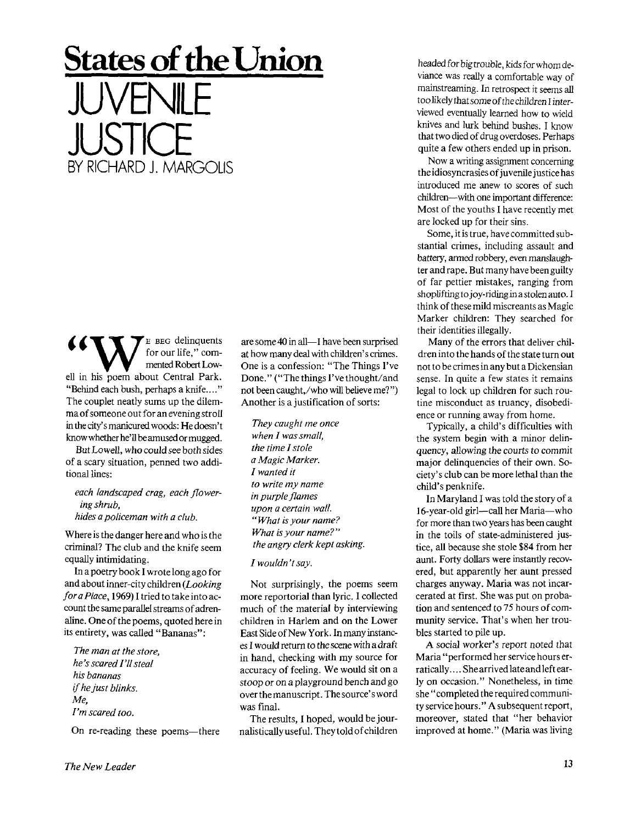## **States of the Union**  JUVENILE **JUSTICE** BY RICHARD J. MARGOLIS

E BEG delinquents for our life," commented Robert Lowell in his poem about Central Park. "Behind each bush, perhaps a knife...." The couplet neatly sums up the dilemma of someone out for an evening stroll in the city's manicured woods: He doesn't know whether he'll be amused or mugged.

But Lowell, who could see both sides of a scary situation, penned two additional lines:

*each landscaped crag, each flowering shrub, hides a policeman with a club.* 

Where is the danger here and who is the criminal? The club and the knife seem equally intimidating.

In a poetry book I wrote long ago for and about inner-city children *(Looking for a Place,* 1969) I tried to take into account the same parallel streams of adrenaline. One of the poems, quoted here in its entirety, was called "Bananas":

*The man at the store, he's scared I'll steal his bananas if he just blinks. Me, I'm scared too.* 

On re-reading these poems—there

*I wouldn 't say.*  Not surprisingly, the poems seem

more reportorial than lyric. I collected much of the material by interviewing children in Harlem and on the Lower East Side of New York. In many instances I would return to the scene with a draft in hand, checking with my source for accuracy of feeling. We would sit on a *stoop or on* a playground bench and go over the manuscript. The source's word was final.

are some 40 in all—I have been surprised at how many deal with children's crimes. One is a confession: "The Things I've Done." ("The things I've thought/and not been caught,/who will believe me? ") Another is a justification of sorts:

*They caught me once when I was small, the time I stole a Magic Marker. I wanted it to write my name in purple flames upon a certain wall. " What is your name? What is your name?" the angry clerk kept asking.* 

The results, I hoped, would be journalistically useful. They told of children headed for big trouble, kids for whom deviance was really a comfortable way of mainstreaming. In retrospect it seems all too likely that some of the children I interviewed eventually learned how to wield knives and lurk behind bushes. I know that two died of drug overdoses. Perhaps quite a few others ended up in prison.

Now a writing assignment concerning the idiosyncrasies of juvenile justice has introduced me anew to scores of such children—with one important difference: Most of the youths I have recently met are locked up for their sins.

Some, it is true, have committed substantial crimes, including assault and battery, armed robbery, even manslaughter and rape. But many have been guilty of far pettier mistakes, ranging from shoplifting to joy-riding in a stolen auto. I think of these mild miscreants as Magic Marker children: They searched for their identities illegally.

Many of the errors that deliver children into the hands of the state turn out not to be crimes in any but a Dickensian sense. In quite a few states it remains legal to lock up children for such routine misconduct as truancy, disobedience or running away from home.

Typically, a child's difficulties with the system begin with a minor delinquency, allowing the *courts to* commit major delinquencies of their own. Society's club can be more lethal than the child's penknife.

In Maryland I was told the story of a 16-year-old girl—call her Maria—who for more than two years has been caught in the toils of state-administered justice, all because she stole \$84 from her aunt. Forty dollars were instantly recovered, but apparently her aunt pressed charges anyway. Maria was not incarcerated at first. She was put on probation and sentenced to 75 hours of community service. That's when her troubles started to pile up.

A social worker's report noted that Maria "performed her service hours erratically. ... She arrived late and left early on occasion." Nonetheless, in time she " completed the required community service hours." A subsequent report, moreover, stated that "her behavior improved at home." (Maria was living